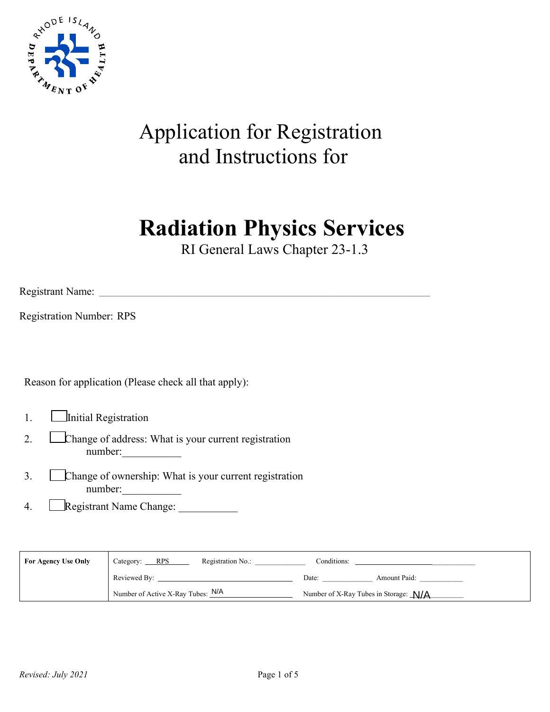

## Application for Registration and Instructions for

# **Radiation Physics Services**

RI General Laws Chapter 23-1.3

Registrant Name: \_\_\_\_\_\_\_\_\_\_\_\_\_\_\_\_\_\_\_\_\_\_\_\_\_\_\_\_\_\_\_\_\_\_\_\_\_\_\_\_\_\_\_\_\_\_\_\_\_\_\_\_\_\_\_\_\_\_\_\_\_\_\_\_\_\_\_\_\_\_\_\_\_\_\_\_\_\_\_\_\_\_\_\_\_\_\_\_\_\_\_\_\_

Registration Number: RPS

Reason for application (Please check all that apply):

- 1. **Initial Registration**
- 2. Change of address: What is your current registration number:\_\_\_\_\_\_\_\_\_\_\_
- 3. Change of ownership: What is your current registration number:
- 4. Registrant Name Change:

| <b>For Agency Use Only</b> | Registration No.:<br>Category: RPS | Conditions:                             |
|----------------------------|------------------------------------|-----------------------------------------|
|                            | Reviewed By:                       | Amount Paid:<br>Date:                   |
|                            | Number of Active X-Ray Tubes: N/A  | Number of X-Ray Tubes in Storage: $N/A$ |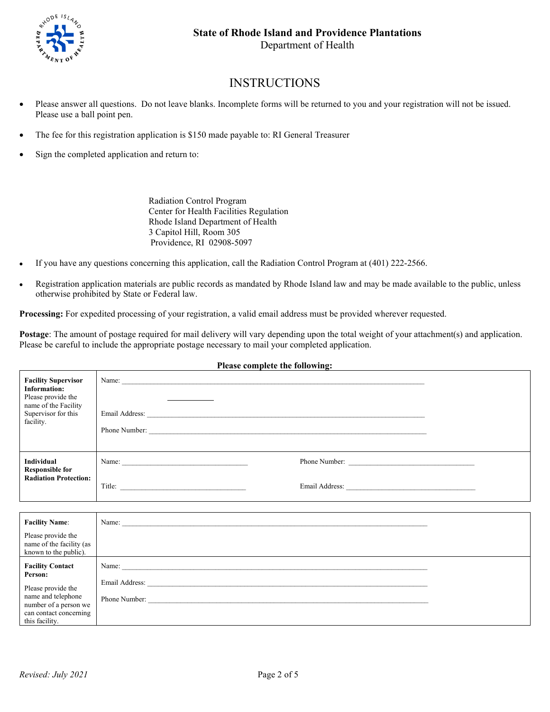

## INSTRUCTIONS

- Please answer all questions. Do not leave blanks. Incomplete forms will be returned to you and your registration will not be issued. Please use a ball point pen.
- The fee for this registration application is \$150 made payable to: RI General Treasurer
- Sign the completed application and return to:

Radiation Control Program Center for Health Facilities Regulation Rhode Island Department of Health 3 Capitol Hill, Room 305 Providence, RI 02908-5097

- If you have any questions concerning this application, call the Radiation Control Program at (401) 222-2566.
- Registration application materials are public records as mandated by Rhode Island law and may be made available to the public, unless otherwise prohibited by State or Federal law.

**Processing:** For expedited processing of your registration, a valid email address must be provided wherever requested.

**Postage**: The amount of postage required for mail delivery will vary depending upon the total weight of your attachment(s) and application. Please be careful to include the appropriate postage necessary to mail your completed application.

#### **Please complete the following:**

| <b>Facility Supervisor</b><br><b>Information:</b><br>Please provide the<br>name of the Facility<br>Supervisor for this<br>facility. | Name:<br>Email Address:<br>Phone Number: |                |  |
|-------------------------------------------------------------------------------------------------------------------------------------|------------------------------------------|----------------|--|
| Individual<br><b>Responsible for</b><br><b>Radiation Protection:</b>                                                                | Name:                                    | Phone Number:  |  |
|                                                                                                                                     | Title:                                   | Email Address: |  |

| <b>Facility Name:</b>                                                   | Name:                           |  |
|-------------------------------------------------------------------------|---------------------------------|--|
| Please provide the<br>name of the facility (as<br>known to the public). |                                 |  |
| <b>Facility Contact</b><br>Person:                                      | Name:                           |  |
| Please provide the<br>name and telephone<br>number of a person we       | Email Address:<br>Phone Number: |  |
| can contact concerning<br>this facility.                                |                                 |  |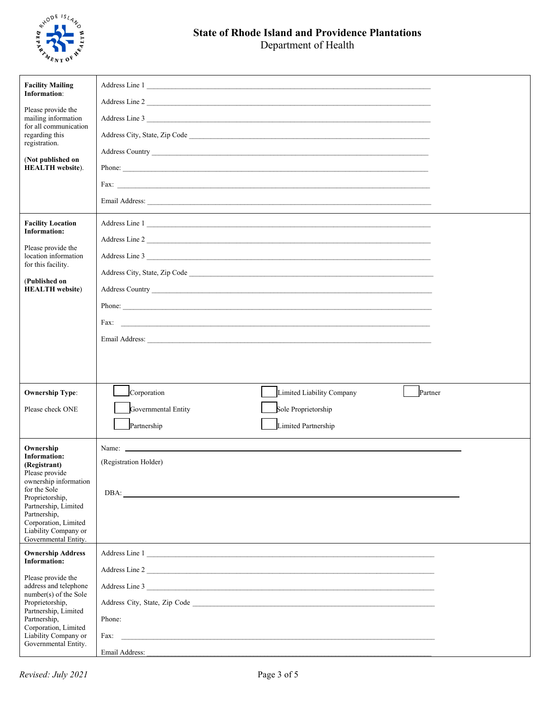

| <b>Facility Mailing</b><br>Information:<br>Please provide the<br>mailing information<br>for all communication<br>regarding this<br>registration.                                                                                                           | Address Line 1<br>Address Line 2<br>Address Line 3                                                                                                                                                                                                                                                                      |  |
|------------------------------------------------------------------------------------------------------------------------------------------------------------------------------------------------------------------------------------------------------------|-------------------------------------------------------------------------------------------------------------------------------------------------------------------------------------------------------------------------------------------------------------------------------------------------------------------------|--|
| (Not published on<br><b>HEALTH</b> website).                                                                                                                                                                                                               | Phone:                                                                                                                                                                                                                                                                                                                  |  |
| <b>Facility Location</b><br><b>Information:</b><br>Please provide the<br>location information<br>for this facility.<br>(Published on<br><b>HEALTH</b> website)                                                                                             | Address Line 1<br>Address Line 2<br>Address Line 3<br>Fax:<br><u> 1989 - Johann Stoff, deutscher Stoff, der Stoff, der Stoff, der Stoff, der Stoff, der Stoff, der Stoff, der S</u>                                                                                                                                     |  |
| <b>Ownership Type:</b><br>Please check ONE                                                                                                                                                                                                                 | Partner<br>Corporation<br>Limited Liability Company<br>Governmental Entity<br>Sole Proprietorship<br>Partnership<br>Limited Partnership                                                                                                                                                                                 |  |
| Ownership<br>Information:<br>(Registrant)<br>Please provide<br>ownership information<br>for the Sole<br>Proprietorship,<br>Partnership, Limited<br>Partnership,<br>Corporation, Limited<br>Liability Company or<br>Governmental Entity.                    | Name: $\frac{1}{2}$ Name: $\frac{1}{2}$ Name: $\frac{1}{2}$ Name: $\frac{1}{2}$ Name: $\frac{1}{2}$ Name: $\frac{1}{2}$ Name: $\frac{1}{2}$ Name: $\frac{1}{2}$ Name: $\frac{1}{2}$ Name: $\frac{1}{2}$ Name: $\frac{1}{2}$ Name: $\frac{1}{2}$ Name: $\frac{1}{2}$ Name: $\frac{1}{2$<br>(Registration Holder)<br>DBA: |  |
| <b>Ownership Address</b><br><b>Information:</b><br>Please provide the<br>address and telephone<br>number(s) of the Sole<br>Proprietorship,<br>Partnership, Limited<br>Partnership,<br>Corporation, Limited<br>Liability Company or<br>Governmental Entity. | Address Line 1<br>Address Line 2<br>Address Line 3<br>Address City, State, Zip Code <b>Example 2018</b><br>Phone:<br>Fax:<br>Email Address:                                                                                                                                                                             |  |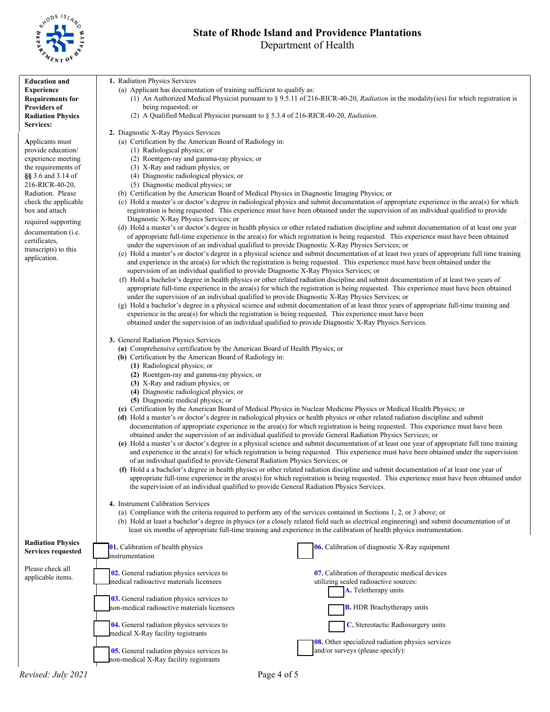

### **State of Rhode Island and Providence Plantations** Department of Health

| <b>Education and</b>     |                                                                                                                                                                                                                                                                                       |
|--------------------------|---------------------------------------------------------------------------------------------------------------------------------------------------------------------------------------------------------------------------------------------------------------------------------------|
|                          | 1. Radiation Physics Services                                                                                                                                                                                                                                                         |
| <b>Experience</b>        | (a) Applicant has documentation of training sufficient to qualify as:                                                                                                                                                                                                                 |
| <b>Requirements for</b>  | (1) An Authorized Medical Physicist pursuant to § 9.5.11 of 216-RICR-40-20, Radiation in the modality(ies) for which registration is                                                                                                                                                  |
| <b>Providers of</b>      | being requested; or                                                                                                                                                                                                                                                                   |
| <b>Radiation Physics</b> | (2) A Qualified Medical Physicist pursuant to $\S$ 5.3.4 of 216-RICR-40-20, Radiation.                                                                                                                                                                                                |
| <b>Services:</b>         |                                                                                                                                                                                                                                                                                       |
|                          | 2. Diagnostic X-Ray Physics Services                                                                                                                                                                                                                                                  |
| Applicants must          | (a) Certification by the American Board of Radiology in:                                                                                                                                                                                                                              |
| provide education/       | (1) Radiological physics; or                                                                                                                                                                                                                                                          |
| experience meeting       | (2) Roentgen-ray and gamma-ray physics; or                                                                                                                                                                                                                                            |
| the requirements of      | (3) X-Ray and radium physics; or                                                                                                                                                                                                                                                      |
| §§ 3.6 and 3.14 of       | (4) Diagnostic radiological physics; or                                                                                                                                                                                                                                               |
| 216-RICR-40-20,          | (5) Diagnostic medical physics; or                                                                                                                                                                                                                                                    |
| Radiation. Please        | (b) Certification by the American Board of Medical Physics in Diagnostic Imaging Physics; or                                                                                                                                                                                          |
| check the applicable     | (c) Hold a master's or doctor's degree in radiological physics and submit documentation of appropriate experience in the area(s) for which                                                                                                                                            |
| box and attach           | registration is being requested. This experience must have been obtained under the supervision of an individual qualified to provide                                                                                                                                                  |
| required supporting      | Diagnostic X-Ray Physics Services; or                                                                                                                                                                                                                                                 |
| documentation (i.e.      | (d) Hold a master's or doctor's degree in health physics or other related radiation discipline and submit documentation of at least one year<br>of appropriate full-time experience in the area(s) for which registration is being requested. This experience must have been obtained |
| certificates,            | under the supervision of an individual qualified to provide Diagnostic X-Ray Physics Services; or                                                                                                                                                                                     |
| transcripts) to this     | (e) Hold a master's or doctor's degree in a physical science and submit documentation of at least two years of appropriate full time training                                                                                                                                         |
| application.             | and experience in the area(s) for which the registration is being requested. This experience must have been obtained under the                                                                                                                                                        |
|                          | supervision of an individual qualified to provide Diagnostic X-Ray Physics Services; or                                                                                                                                                                                               |
|                          | (f) Hold a bachelor's degree in health physics or other related radiation discipline and submit documentation of at least two years of                                                                                                                                                |
|                          | appropriate full-time experience in the area(s) for which the registration is being requested. This experience must have been obtained                                                                                                                                                |
|                          | under the supervision of an individual qualified to provide Diagnostic X-Ray Physics Services; or                                                                                                                                                                                     |
|                          | (g) Hold a bachelor's degree in a physical science and submit documentation of at least three years of appropriate full-time training and                                                                                                                                             |
|                          | experience in the area(s) for which the registration is being requested. This experience must have been                                                                                                                                                                               |
|                          | obtained under the supervision of an individual qualified to provide Diagnostic X-Ray Physics Services.                                                                                                                                                                               |
|                          |                                                                                                                                                                                                                                                                                       |
|                          | 3. General Radiation Physics Services                                                                                                                                                                                                                                                 |
|                          | (a) Comprehensive certification by the American Board of Health Physics; or                                                                                                                                                                                                           |
|                          | (b) Certification by the American Board of Radiology in:                                                                                                                                                                                                                              |
|                          | (1) Radiological physics; or                                                                                                                                                                                                                                                          |
|                          | (2) Roentgen-ray and gamma-ray physics; or                                                                                                                                                                                                                                            |
|                          | (3) X-Ray and radium physics; or<br>(4) Diagnostic radiological physics; or                                                                                                                                                                                                           |
|                          | (5) Diagnostic medical physics; or                                                                                                                                                                                                                                                    |
|                          | (c) Certification by the American Board of Medical Physics in Nuclear Medicine Physics or Medical Health Physics; or                                                                                                                                                                  |
|                          |                                                                                                                                                                                                                                                                                       |
|                          |                                                                                                                                                                                                                                                                                       |
|                          | (d) Hold a master's or doctor's degree in radiological physics or health physics or other related radiation discipline and submit                                                                                                                                                     |
|                          | documentation of appropriate experience in the area(s) for which registration is being requested. This experience must have been<br>obtained under the supervision of an individual qualified to provide General Radiation Physics Services; or                                       |
|                          | (e) Hold a master's or doctor's degree in a physical science and submit documentation of at least one year of appropriate full time training                                                                                                                                          |
|                          | and experience in the area(s) for which registration is being requested. This experience must have been obtained under the supervision                                                                                                                                                |
|                          | of an individual qualified to provide General Radiation Physics Services; or                                                                                                                                                                                                          |
|                          | (f) Hold a a bachelor's degree in health physics or other related radiation discipline and submit documentation of at least one year of                                                                                                                                               |
|                          | appropriate full-time experience in the area(s) for which registration is being requested. This experience must have been obtained under                                                                                                                                              |
|                          | the supervision of an individual qualified to provide General Radiation Physics Services.                                                                                                                                                                                             |
|                          |                                                                                                                                                                                                                                                                                       |
|                          | 4. Instrument Calibration Services                                                                                                                                                                                                                                                    |
|                          | (a) Compliance with the criteria required to perform any of the services contained in Sections 1, 2, or 3 above; or                                                                                                                                                                   |
|                          | (b) Hold at least a bachelor's degree in physics (or a closely related field such as electrical engineering) and submit documentation of at                                                                                                                                           |
|                          | least six months of appropriate full-time training and experience in the calibration of health physics instrumentation.                                                                                                                                                               |
| <b>Radiation Physics</b> |                                                                                                                                                                                                                                                                                       |
| Services requested       | 01. Calibration of health physics<br>06. Calibration of diagnostic X-Ray equipment<br>instrumentation                                                                                                                                                                                 |
|                          |                                                                                                                                                                                                                                                                                       |
| Please check all         | 02. General radiation physics services to<br>07. Calibration of therapeutic medical devices                                                                                                                                                                                           |
| applicable items.        | medical radioactive materials licensees<br>utilizing sealed radioactive sources:                                                                                                                                                                                                      |
|                          | A. Teletherapy units                                                                                                                                                                                                                                                                  |
|                          | <b>03.</b> General radiation physics services to                                                                                                                                                                                                                                      |
|                          | non-medical radioactive materials licensees<br><b>B.</b> HDR Brachytherapy units                                                                                                                                                                                                      |
|                          |                                                                                                                                                                                                                                                                                       |
|                          | 04. General radiation physics services to<br>C. Stereotactic Radiosurgery units                                                                                                                                                                                                       |
|                          | medical X-Ray facility registrants                                                                                                                                                                                                                                                    |
|                          | 08. Other specialized radiation physics services                                                                                                                                                                                                                                      |
|                          | 05. General radiation physics services to<br>and/or surveys (please specify):<br>non-medical X-Ray facility registrants                                                                                                                                                               |